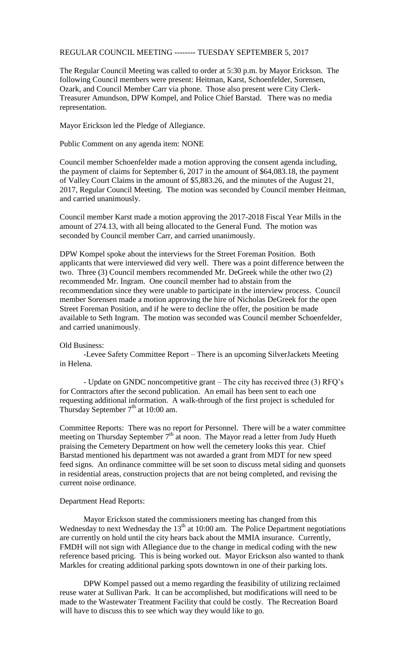## REGULAR COUNCIL MEETING -------- TUESDAY SEPTEMBER 5, 2017

The Regular Council Meeting was called to order at 5:30 p.m. by Mayor Erickson. The following Council members were present: Heitman, Karst, Schoenfelder, Sorensen, Ozark, and Council Member Carr via phone. Those also present were City Clerk-Treasurer Amundson, DPW Kompel, and Police Chief Barstad. There was no media representation.

Mayor Erickson led the Pledge of Allegiance.

Public Comment on any agenda item: NONE

Council member Schoenfelder made a motion approving the consent agenda including, the payment of claims for September 6, 2017 in the amount of \$64,083.18, the payment of Valley Court Claims in the amount of \$5,883.26, and the minutes of the August 21, 2017, Regular Council Meeting. The motion was seconded by Council member Heitman, and carried unanimously.

Council member Karst made a motion approving the 2017-2018 Fiscal Year Mills in the amount of 274.13, with all being allocated to the General Fund. The motion was seconded by Council member Carr, and carried unanimously.

DPW Kompel spoke about the interviews for the Street Foreman Position. Both applicants that were interviewed did very well. There was a point difference between the two. Three (3) Council members recommended Mr. DeGreek while the other two (2) recommended Mr. Ingram. One council member had to abstain from the recommendation since they were unable to participate in the interview process. Council member Sorensen made a motion approving the hire of Nicholas DeGreek for the open Street Foreman Position, and if he were to decline the offer, the position be made available to Seth Ingram. The motion was seconded was Council member Schoenfelder, and carried unanimously.

## Old Business:

-Levee Safety Committee Report – There is an upcoming SilverJackets Meeting in Helena.

- Update on GNDC noncompetitive grant – The city has received three (3) RFQ's for Contractors after the second publication. An email has been sent to each one requesting additional information. A walk-through of the first project is scheduled for Thursday September  $7<sup>th</sup>$  at 10:00 am.

Committee Reports: There was no report for Personnel. There will be a water committee meeting on Thursday September 7<sup>th</sup> at noon. The Mayor read a letter from Judy Hueth praising the Cemetery Department on how well the cemetery looks this year. Chief Barstad mentioned his department was not awarded a grant from MDT for new speed feed signs. An ordinance committee will be set soon to discuss metal siding and quonsets in residential areas, construction projects that are not being completed, and revising the current noise ordinance.

## Department Head Reports:

Mayor Erickson stated the commissioners meeting has changed from this Wednesday to next Wednesday the  $13<sup>th</sup>$  at 10:00 am. The Police Department negotiations are currently on hold until the city hears back about the MMIA insurance. Currently, FMDH will not sign with Allegiance due to the change in medical coding with the new reference based pricing. This is being worked out. Mayor Erickson also wanted to thank Markles for creating additional parking spots downtown in one of their parking lots.

DPW Kompel passed out a memo regarding the feasibility of utilizing reclaimed reuse water at Sullivan Park. It can be accomplished, but modifications will need to be made to the Wastewater Treatment Facility that could be costly. The Recreation Board will have to discuss this to see which way they would like to go.